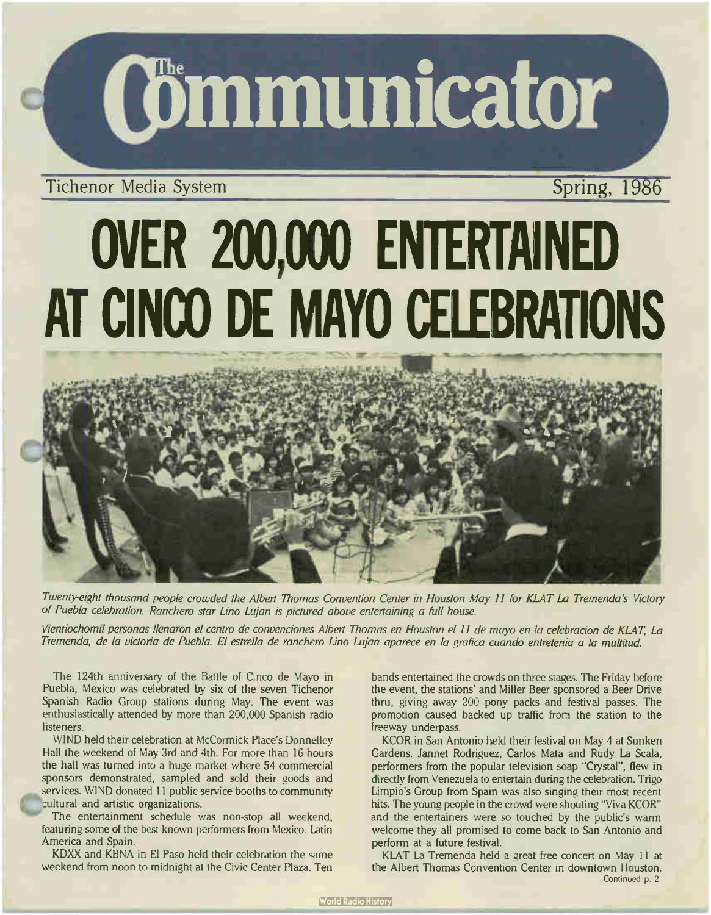

### Tichenor Media System Spring, 1986

# OVER 200,000 ENTERTAINED AT CINCO DE MAYO CELEBRATIONS

Twenty-eight thousand people crowded the Albert Thomas Convention Center in Houston May 11 for KLAT La Tremenda 's Victory of Puebla celebration. Ranchero star Lino Lujan is pictured above entertaining a full house.

Vientiochomil personas llenaron el centro de convenciones Albert Thomas en Houston el 11 de mayo en la celebracion de KLAT, La Tremenda, de la victoria de Puebla. El estrella de ranchero Lino Lujan aparece en la grafica cuando entretenia a la multitud.

The 124th anniversary of the Battle of Cinco de Mayo in Puebla, Mexico was celebrated by six of the seven Tichenor Spanish Radio Group stations during May. The event was enthusiastically attended by more than 200,000 Spanish radio listeners.

WIND held their celebration at McCormick Place's Donnelley Hall the weekend of May 3rd and 4th. For more than 16 hours the hall was turned into a huge market where 54 commercial sponsors demonstrated, sampled and sold their goods and services. WIND donated 11 public service booths to community cultural and artistic organizations.

The entertainment schedule was non-stop all weekend, featuring some of the best known performers from Mexico. Latin America and Spain.

KDXX and KBNA in El Paso held their celebration the same weekend from noon to midnight at the Civic Center Plaza. Ten bands entertained the crowds on three stages. The Friday before the event, the stations' and Miller Beer sponsored a Beer Drive thru, giving away 200 pony packs and festival passes. The promotion caused backed up traffic from the station to the freeway underpass.

KCOR in San Antonio held their festival on May 4 at Sunken Gardens. Jannet Rodriguez, Carlos Mata and Rudy La Scala, performers from the popular television soap "Crystal", flew in directly from Venezuela to entertain during the celebration. Trigo Limpio's Group from Spain was also singing their most recent hits. The young people in the crowd were shouting "Viva KCOR" and the entertainers were so touched by the public's warm welcome they all promised to come back to San Antonio and perform at a future festival.

KLAT La Tremenda held a great free concert on May 11 at the Albert Thomas Convention Center in downtown Houston. Continued p. 2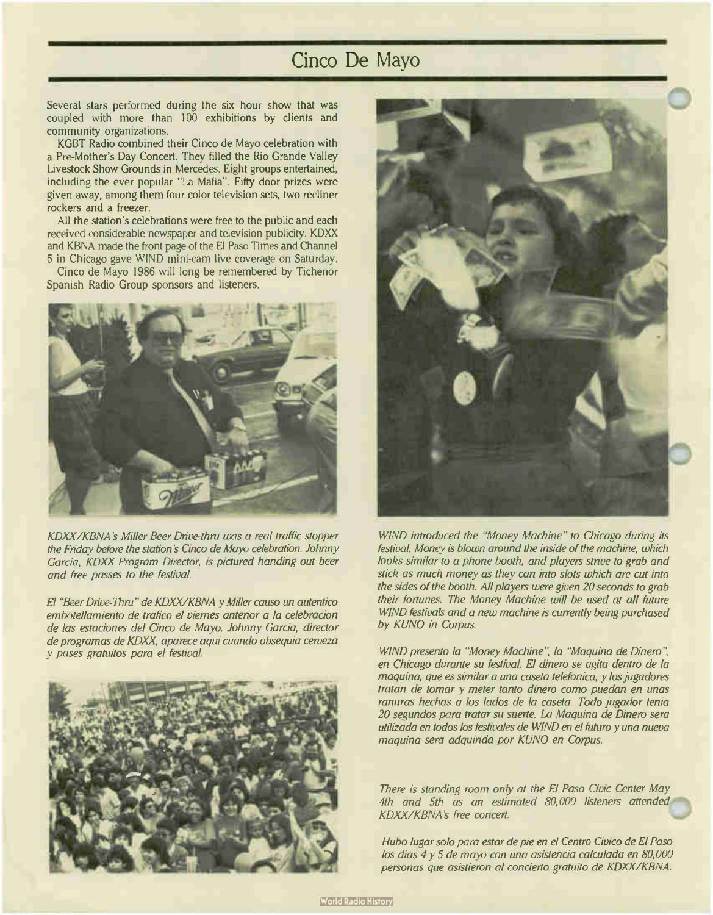### Cinco De Mayo

Several stars performed during the six hour show that was coupled with more than 100 exhibitions by clients and community organizations.

KGBT Radio combined their Cinco de Mayo celebration with a Pre-Mother's Day Concert. They filled the Rio Grande Valley Livestock Show Grounds in Mercedes. Eight groups entertained, including the ever popular "La Mafia". Fifty door prizes were given away, among them four color television sets, two recliner rockers and a freezer.

All the station's celebrations were free to the public and each received considerable newspaper and television publicity. KDXX and KBNA made the front page of the El Paso Times and Channel 5 in Chicago gave WIND mini-cam live coverage on Saturday.

Cinco de Mayo 1986 will long be remembered by Tichenor Spanish Radio Group sponsors and listeners.



KDXX/KBNA 's Miller Beer Drive-thru was a real traffic stopper the Friday before the station's Cinco de Mayo celebration. Johnny Garcia, KDXX Program Director, is pictured handing out beer and free passes to the festival

El "Beer Drive-Thru" de KDXX/KBNA y Miller causo un autentico embotellamiento de trafico el viernes anterior a la celebracion de las estaciones del Cinco de Mayo. Johnny Garcia, director de programas de KDXX, aparece aquí cuando obsequia cerveza y pases gratuitos para el festival.





WIND introduced the "Money Machine" to Chicago during its festival. Money is blown around the inside of the machine, which looks similar to a phone booth, and players strive to grab and stick as much money as they can into slots which are cut into the sides of the booth. All players were given 20 seconds to grab their fortunes. The Money Machine will be used at all future WIND festivals and a new machine is currently being purchased by KUNO in Corpus.

WIND presento la "Money Machine", la "Maquina de Dinero", en Chicago durante su festival. El dinero se agita dentro de la maquina, que es similar a una caseta telefonica, y los jugadores tratan de tomar y meter tanto dinero como puedan en unas ranuras hechas a los lados de la caseta. Todo jugador tenia 20 segundos para tratar su suerte. La Maquina de Dinero sera utilizada en todos los festivales de WIND en el futuro y una nueva maquina sera adquirida por KUNO en Corpus.

There is standing room only at the El Paso Civic Center May 4th and 5th as an estimated 80,000 listeners attended KDXX/KBNA 's free concert.

Hubo lugar solo para estar de pie en el Centro Civico de El Paso los dias 4 y 5 de mayo con una asistencia calculada en 80,000 personas que asistieron at concierto gratuito de KDXX/KBNA.

**World Radio History**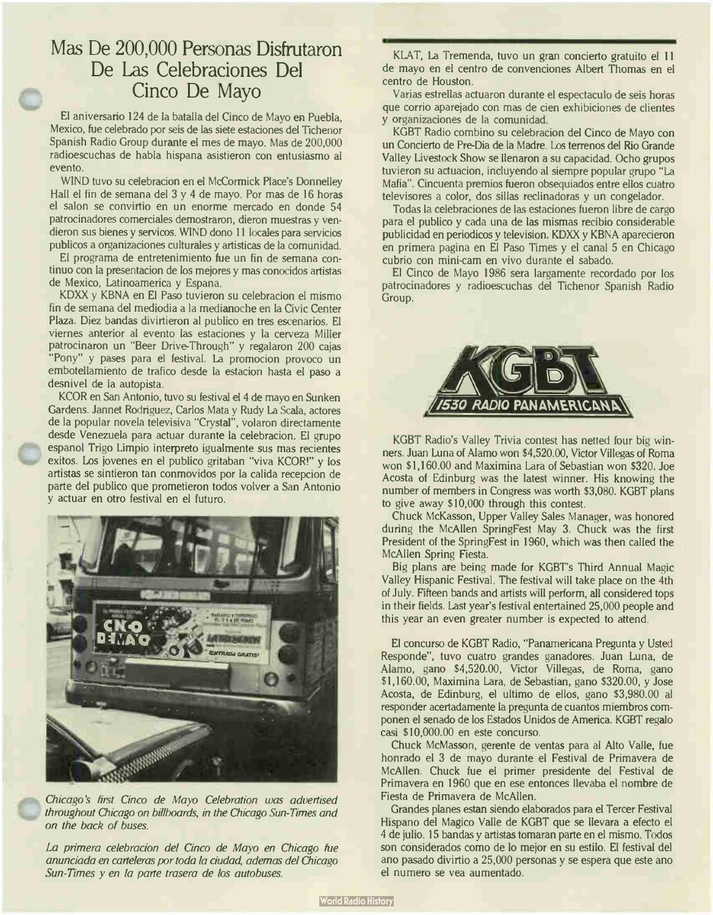### Mas De 200,000 Personas Disfrutaron De Las Celebraciones Del Cinco De Mayo

El aniversario 124 de la batalla del Cinco de Mayo en Puebla, Mexico, fue celebrado por seis de las siete estaciones del Tichenor Spanish Radio Group durante el mes de mayo. Mas de 200,000 radioescuchas de habla hispana asistieron con entusiasmo al evento.

WIND tuvo su celebracion en el McCormick Place's Donnelley Hall el fin de semana del 3 y 4 de mayo. Por mas de 16 horas el salon se convirtio en un enorme mercado en donde 54 patrocinadores comerciales demostraron, dieron muestras y vendieron sus bienes y servicos. WIND dono 11 locales para servicios publicos a organizaciones culturales y artisticas de la comunidad.

El programa de entretenimiento fue un fin de semana continuo con la presentacion de los mejores y mas conocidos artistas de Mexico, Latinoamerica y Espana.

KDXX y KBNA en El Paso tuvieron su celebracion el mismo fin de semana del mediodia a la medianoche en la Civic Center Plaza. Diez bandas divirtieron al publico en tres escenarios. El viernes anterior al evento las estaciones y la cerveza Miller patrocinaron un "Beer Drive-Through" y regalaron 200 cajas "Pony" y pases para el festival. La promocion provoco un embotellamiento de trafico desde la estacion hasta el paso a desnivel de la autopista.

KCOR en San Antonio, tuvo su festival el 4 de mayo en Sunken Gardens. Jannet Rodriguez, Carlos Mata y Rudy La Scala, actores de la popular novela televisiva "Crystal", volaron directamente desde Venezuela para actuar durante la celebracion. El grupo espanol Trigo Limpio interpreto igualmente sus mas recientes exitos. Los jovenes en el publico gritaban "viva KCOR!" y los artistas se sintieron tan conmovidos por la calida recepcion de parte del publico que prometieron todos volver a San Antonio y actuar en otro festival en el futuro.



Chicago's first Cinco de Mayo Celebration was advertised throughout Chicago on billboards, in the Chicago Sun- Times and on the back of buses.

La primera celebracion del Cinco de Mayo en Chicago fue anunciada en carteleras por toda la ciudad, ademas del Chicago Sun-Times y en la parte trasera de los autobuses.

KLAT, La Tremenda, tuvo un gran concierto gratuito el 11 de mayo en el centro de convenciones Albert Thomas en el centro de Houston.

Varias estrellas actuaron durante el espectaculo de seis horas que corrio aparejado con mas de cien exhibiciones de clientes y organizaciones de la comunidad.

KGBT Radio combino su celebracion del Cinco de Mayo con un Concierto de Pre-Dia de la Madre. Los terrenos del Rio Grande Valley Livestock Show se llenaron a su capacidad. Ocho grupos tuvieron su actuacion, incluyendo al siempre popular grupo " La Mafia". Cincuenta premios fueron obsequiados entre ellos cuatro televisores a color, dos sillas reclinadoras y un congelador.

Todas la celebraciones de las estaciones fueron libre de cargo para el publico y cada una de las mismas recibio considerable publicidad en periodicos y television. KDXX y KBNA aparecieron en primera pagina en El Paso Times y el canal 5 en Chicago cubrio con mini-cam en vivo durante el sabado.

El Cinco de Mayo 1986 sera largamente recordado por los patrocinadores y radioescuchas del Tichenor Spanish Radio Group.



KGBT Radio's Valley Trivia contest has netted four big winners. Juan Luna of Alamo won \$4,520.00, Victor Villegas of Roma won \$1,160.00 and Maximina Lara of Sebastian won \$320. Joe Acosta of Edinburg was the latest winner. His knowing the number of members in Congress was worth \$3,080. KGBT plans to give away \$ 10,000 through this contest.

Chuck McKasson, Upper Valley Sales Manager, was honored during the McAllen SpringFest May 3. Chuck was the first President of the SpringFest in 1960, which was then called the McAllen Spring Fiesta.

Big plans are being made for KGBT's Third Annual Magic Valley Hispanic Festival. The festival will take place on the 4th of July. Fifteen bands and artists will perform, all considered tops in their fields. Last year's festival entertained 25,000 people and this year an even greater number is expected to attend.

El concurso de KGBT Radio, " Panamericana Pregunta y Usted Responde", tuvo cuatro grandes ganadores. Juan Luna, de Alamo, gano \$4,520.00, Victor Villegas, de Roma, gano \$1,160.00, Maximina Lara, de Sebastian, gano \$320.00, y Jose Acosta, de Edinburg, el ultimo de ellos, gano \$3,980.00 al responder acertadamente la pregunta de cuantos miembros componen el senado de los Estados Unidos de America. KGBT regalo casi \$ 10,000.00 en este concurso.

Chuck McMasson, gerente de yentas para al Alto Valle, fue honrado el 3 de mayo durante el Festival de Primavera de McAllen. Chuck fue el primer presidente del Festival de Primavera en 1960 que en ese entonces llevaba el nombre de Fiesta de Primavera de McAllen.

Grandes planes estan siendo elaborados para el Tercer Festival Hispano del Magico Valle de KGBT que se llevara a efecto el 4 de julio. <sup>15</sup> bandas y artistas tomaran parte en el mismo. Todos son considerados como de lo mejor en su estilo. El festival del ano pasado divirtio a 25,000 personas y se espera que este ano el numero se vea aumentado.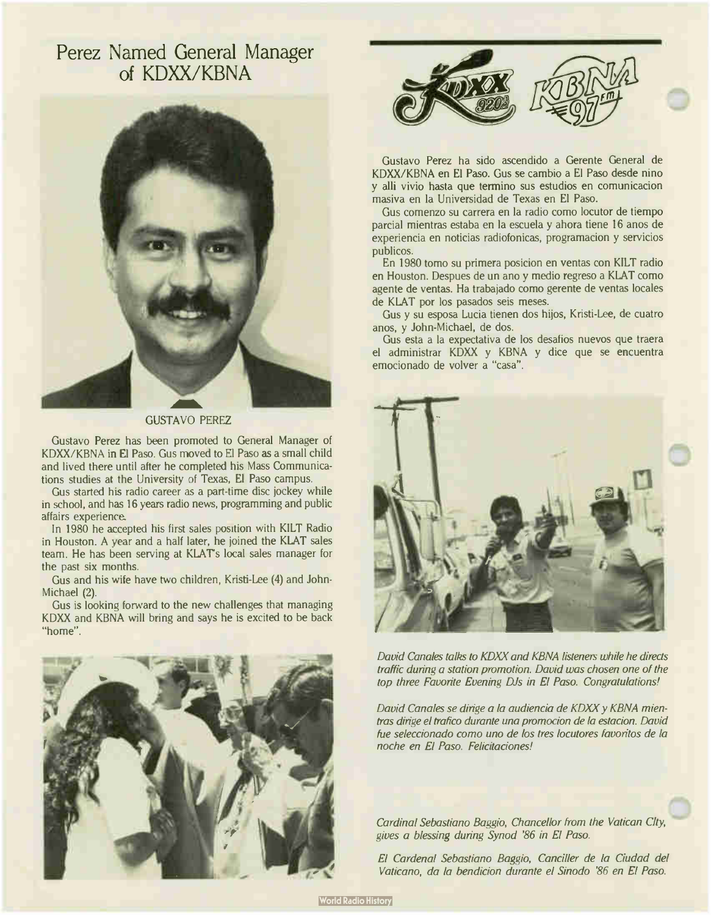### Perez Named General Manager of KDXX/KBNA



GUSTAVO PEREZ

Gustavo Perez has been promoted to General Manager of KDXX/KBNA in El Paso. Gus moved to El Paso as a small child and lived there until after he completed his Mass Communications studies at the University of Texas, El Paso campus.

Gus started his radio career as a part-time disc jockey while in school, and has 16 years radio news, programming and public affairs experience.

In 1980 he accepted his first sales position with KILT Radio in Houston. A year and a half later, he joined the KLAT sales team. He has been serving at KLAT's local sales manager for the past six months.

Gus and his wife have two children, Kristi-Lee (4) and John-Michael (2).

Gus is looking forward to the new challenges that managing KDXX and KBNA will bring and says he is excited to be back "home".





Gustavo Perez ha sido ascendido a Gerente General de KDXX/KBNA en El Paso. Gus se cambio a El Paso desde nino y alli vivio hasta que termino sus estudios en comunicacion masiva en la Universidad de Texas en El Paso.

Gus comenzo su carrera en la radio como locutor de tiempo parcial mientras estaba en la escuela y ahora tiene <sup>16</sup> anos de experiencia en noticias radiofonicas, programacion y servicios publicos.

En 1980 tomo su primera posicion en yentas con KILT radio en Houston. Despues de un ano y medio regreso a KLAT como agente de yentas. Ha trabajado como gerente de yentas locales de KLAT por los pasados seis meses.

Gus y su esposa Lucia tienen dos hijos, Kristi-Lee, de cuatro anos, y John-Michael, de dos.

Gus esta a la expectativa de los desafios nuevos que traera el administrar KDXX y KBNA y dice que se encuentra emocionado de volver a "casa".



David Canales talks to KDXX and KBNA listeners while he directs traffic during a station promotion. David was chosen one of the top three Favorite Evening DJs in El Paso. Congratulations!

David Canales se dirige a la audiencia de KDXX y KBNA mientras dirige el trafico durante una promocion de la estacion. David fue seleccionado como uno de los tres locutores favoritos de la noche en El Paso. Felicitaciones!

Cardinal Sebastiano Baggio, Chancellor from the Vatican City, gives a blessing during Synod '86 in El Paso.

El Cardenal Sebastiano Baggio, Canciller de la Ciudad del Vaticano, da la bendicion durante el Sinodo '86 en El Paso.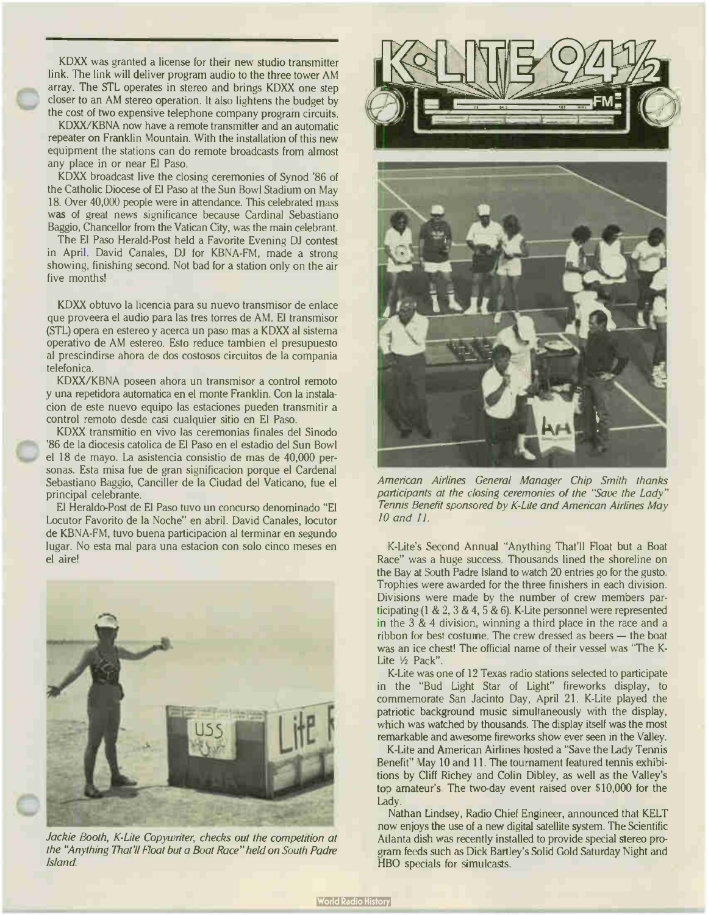KDXX was granted a license for their new studio transmitter link. The link will deliver program audio to the three tower AM array. The STL operates in stereo and brings KDXX one step closer to an AM stereo operation. It also lightens the budget by the cost of two expensive telephone company program circuits.

KDXX/KBNA now have a remote transmitter and an automatic repeater on Franklin Mountain. With the installation of this new equipment the stations can do remote broadcasts from almost any place in or near El Paso.

KDXX broadcast live the closing ceremonies of Synod '86 of the Catholic Diocese of El Paso at the Sun Bowl Stadium on May 18. Over 40,000 people were in attendance. This celebrated mass was of great news significance because Cardinal Sebastiano Baggio, Chancellor from the Vatican City, was the main celebrant.

The El Paso Herald-Post held a Favorite Evening DJ contest in April. David Canales, DJ for KBNA-FM, made a strong showing, finishing second. Not bad for a station only on the air five months!

KDXX obtuvo la licencia para su nuevo transmisor de enlace que proveera el audio para las tres torres de AM. El transmisor (SIL) opera en estereo y acerca un paso mas a KDXX al sistema operativo de AM estereo. Esto reduce tambien el presupuesto al prescindirse ahora de dos costosos circuitos de la compania telefonica.

KDXX/KBNA poseen ahora un transmisor a control remoto y una repetidora automatica en el monte Franklin. Con la instalacion de este nuevo equipo las estaciones pueden transmitir a control remoto desde casi cualquier sitio en El Paso.

KDXX transmitio en vivo las ceremonias finales del Sinodo '86 de la diocesis catolica de El Paso en el estadio del Sun Bowl el 18 de mayo. La asistencia consistio de mas de 40,000 personas. Esta misa fue de gran significacion porque el Cardenal Sebastiano Baggio, Canciller de la Ciudad del Vaticano, fue el principal celebrante.

El Heraldo-Post de El Paso tuvo un concurso denominado " El Locutor Favorito de la Noche" en abril. David Canales, locutor de KBNA-FM, tuvo buena participacion al terminar en segundo lugar. No esta mal para una estacion con solo cinco meses en el aire!



Jackie Booth, K-Lite Copywriter, checks out the competition at the "Anything That'll Float but a Boat Race" held on South Padre Island.





American Airlines General Manager Chip Smith thanks participants at the closing ceremonies of the "Save the Lady" Tennis Benefit sponsored by K-Lite and American Airlines May 10 and 11.

K-Lite's Second Annual "Anything That'll Float but a Boat Race" was a huge success. Thousands lined the shoreline on the Bay at South Padre Island to watch 20 entries go for the gusto. Trophies were awarded for the three finishers in each division. Divisions were made by the number of crew members participating ( $1 \& 2, 3 \& 4, 5 \& 6$ ). K-Lite personnel were represented in the 3 & 4 division, winning a third place in the race and a ribbon for best costume. The crew dressed as beers — the boat was an ice chest! The official name of their vessel was "The K-Lite 1/2 Pack".

K-Lite was one of 12 Texas radio stations selected to participate in the "Bud Light Star of Light" fireworks display, to commemorate San Jacinto Day, April 21. K-Lite played the patriotic background music simultaneously with the display, which was watched by thousands. The display itself was the most remarkable and awesome fireworks show ever seen in the Valley.

K-Lite and American Airlines hosted a "Save the Lady Tennis Benefit" May 10 and 11. The tournament featured tennis exhibitions by Cliff Richey and Colin Dibley, as well as the Valley's top amateur's The two-day event raised over \$10,000 for the Lady.

Nathan Lindsey, Radio Chief Engineer, announced that KELT now enjoys the use of a new digital satellite system. The Scientific Atlanta dish was recently installed to provide special stereo program feeds such as Dick Bartley's Solid Gold Saturday Night and HBO specials for simulcasts.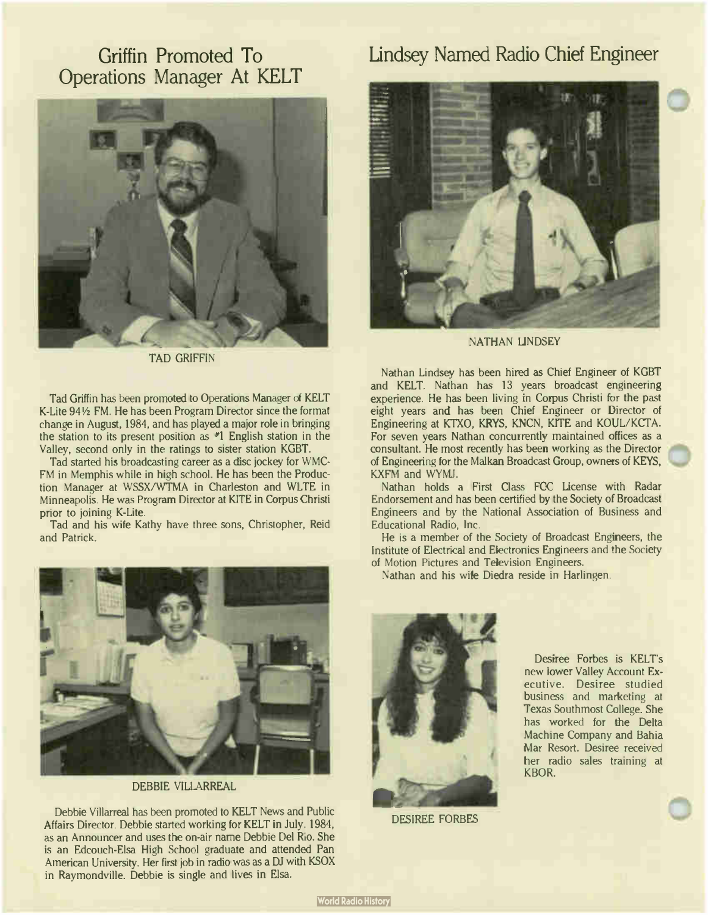### Griffin Promoted To Operations Manager At KELT



TAD GRIFFIN

Tad Griffin has been promoted to Operations Manager of KELT K-Lite 941/2 FM. He has been Program Director since the format change in August, 1984, and has played a major role in bringing the station to its present position as  $*1$  English station in the Valley, second only in the ratings to sister station KGBT.

Tad started his broadcasting career as a disc jockey for WMC-FM in Memphis while in high school. He has been the Production Manager at WSSX/WTMA in Charleston and WLTE in Minneapolis. He was Program Director at KITE in Corpus Christi prior to joining K-Lite.

Tad and his wife Kathy have three sons, Christopher, Reid and Patrick.



DEBBIE VILLARREAL

Debbie Villarreal has been promoted to KELT News and Public Affairs Director. Debbie started working for KELT in July. 1984, as an Announcer and uses the on-air name Debbie Del Rio. She is an Edcouch-Elsa High School graduate and attended Pan American University. Her first job in radio was as a DJ with KSOX in Raymondville. Debbie is single and lives in Elsa.

### Lindsey Named Radio Chief Engineer



NATHAN LINDSEY

Nathan Lindsey has been hired as Chief Engineer of KGBT and KELT. Nathan has 13 years broadcast engineering experience. He has been living in Corpus Christi for the past eight years and has been Chief Engineer or Director of Engineering at KTXO, KRYS, KNCN, KITE and KOUL/KCTA. For seven years Nathan concurrently maintained offices as a consultant. He most recently has been working as the Director of Engineering for the Malkan Broadcast Group, owners of KEYS, KXFM and WYMJ.

Nathan holds a First Class FCC License with Radar Endorsement and has been certified by the Society of Broadcast Engineers and by the National Association of Business and Educational Radio, Inc.

He is a member of the Society of Broadcast Engineers, the Institute of Electrical and Electronics Engineers and the Society of Motion Pictures and Television Engineers.

Nathan and his wile Diedra reside in Harlingen.



DESIREE FORBES

Desiree Forbes is KELT's new lower Valley Account Executive. Desiree studied business and marketing at Texas Southmost College. She has worked for the Delta Machine Company and Bahia Mar Resort. Desiree received her radio sales training at KBOR.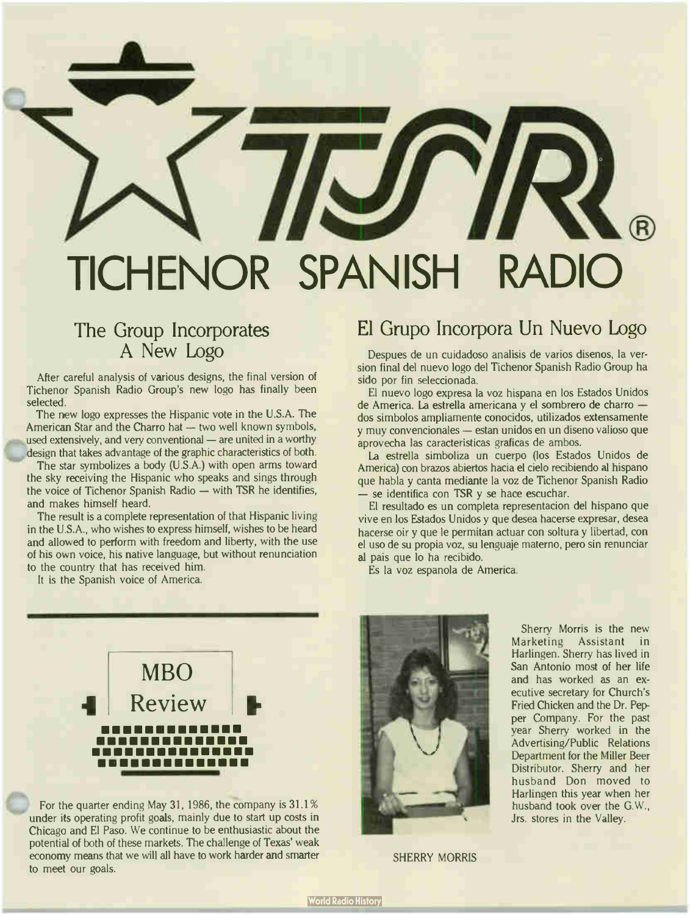## TICHENOR SPANISH RADIO

### The Group Incorporates A New Logo

After careful analysis of various designs, the final version of Tichenor Spanish Radio Group's new logo has finally been selected.

The new logo expresses the Hispanic vote in the U.S.A. The American Star and the Charro hat — two well known symbols, used extensively, and very conventional — are united in a worthy design that takes advantage of the graphic characteristics of both.

The star symbolizes a body (U.S.A.) with open arms toward the sky receiving the Hispanic who speaks and sings through the voice of Tichenor Spanish Radio — with TSR he identifies, and makes himself heard.

The result is a complete representation of that Hispanic living in the U.S.A., who wishes to express himself, wishes to be heard and allowed to perform with freedom and liberty, with the use of his own voice, his native language, but without renunciation to the country that has received him.

It is the Spanish voice of America.

### El Grupo Incorpora Un Nuevo Logo

Despues de un cuidadoso analisis de varios disenos, la version final del nuevo logo del Tichenor Spanish Radio Group ha sido por fin seleccionada.

El nuevo logo expresa la voz hispana en los Estados Unidos de America. La estrella americana y el sombrero de charro dos simbolos ampliamente conocidos, utilizados extensamente y muy convencionales — estan unidos en un diseno valioso que aprovecha las caracteristicas graficas de ambos.

La estrella simboliza un cuerpo (los Estados Unidos de America) con brazos abiertos hacia el cielo recibiendo al hispano que habla y canta mediante la voz de Tichenor Spanish Radio — se identifica con TSR y se hace escuchar.

El resultado es un completa representacion del hispano que vive en los Estados Unidos y que desea hacerse expresar, desea hacerse oir y que le permitan actuar con soltura y libertad, con el uso de su propia voz, su lenguaje materno, pero sin renunciar al pais que lo ha recibido.

Es la voz espanola de America.



For the quarter ending May 31, 1986, the company is 31.1% under its operating profit goals, mainly due to start up costs in Chicago and El Paso. We continue to be enthusiastic about the potential of both of these markets. The challenge of Texas' weak economy means that we will all have to work harder and smarter to meet our goals.



Sherry Morris is the new Marketing Assistant in Harlingen. Sherry has lived in San Antonio most of her life and has worked as an executive secretary for Church's Fried Chicken and the Dr. Pepper Company. For the past year Sherry worked in the Advertising/Public Relations Department for the Miller Beer Distributor. Sherry and her husband Don moved to Harlingen this year when her husband took over the G.W., Jrs. stores in the Valley.

SHERRY MORRIS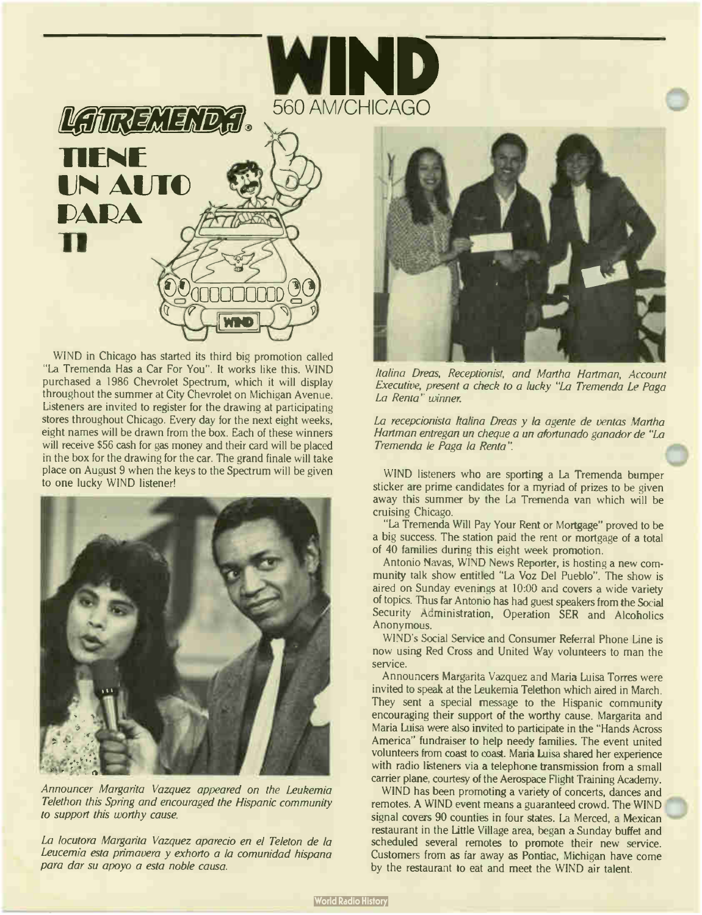



WIND in Chicago has started its third big promotion called "La Tremenda Has a Car For You". It works like this. WIND purchased a 1986 Chevrolet Spectrum, which it will display throughout the summer at City Chevrolet on Michigan Avenue. Listeners are invited to register for the drawing at participating stores throughout Chicago. Every day for the next eight weeks, eight names will be drawn from the box. Each of these winners will receive \$56 cash for gas money and their card will be placed in the box for the drawing for the car. The grand finale will take place on August 9 when the keys to the Spectrum will be given to one lucky WIND listener!



Announcer Margarita Vazquez appeared on the Leukemia Telethon this Spring and encouraged the Hispanic community to support this worthy cause.

La locutora Margarita Vazquez aparecio en el Teleton de la Leucemia esta primavera y exhorto a la comunidad hispana para dar su apoyo a esta noble causa.



Italina Dreas, Receptionist, and Martha Hartman, Account Executive, present a check to a lucky "La Tremenda Le Paga La Renta" winner.

La recepcionista Italina Dreas y la agente de ventas Martha Hartman entregan un cheque a un afortunado ganador de "La Tremenda le Paga la Renta'

WIND listeners who are sporting a La Tremenda bumper sticker are prime candidates for a myriad of prizes to be given away this summer by the La Tremenda van which will be cruising Chicago.

"La Tremenda Will Pay Your Rent or Mortgage" proved to be a big success. The station paid the rent or mortgage of a total of 40 families during this eight week promotion.

Antonio Navas, WIND News Reporter, is hosting a new community talk show entitled "La Voz Del Pueblo". The show is aired on Sunday evenings at 10:00 and covers a wide variety of topics. Thus far Antonio has had guest speakers from the Social Security Administration, Operation SER and Alcoholics Anonymous.

WIND's Social Service and Consumer Referral Phone Line is now using Red Cross and United Way volunteers to man the service.

Announcers Margarita Vazquez and Maria Luisa Torres were invited to speak at the Leukemia Telethon which aired in March. They sent a special message to the Hispanic community encouraging their support of the worthy cause. Margarita and Maria Luisa were also invited to participate in the " Hands Across America" fundraiser to help needy families. The event united volunteers from coast to coast. Maria Luisa shared her experience with radio listeners via a telephone transmission from a small carrier plane, courtesy of the Aerospace Flight Training Academy.

WIND has been promoting a variety of concerts, dances and remotes. A WIND event means a guaranteed crowd. The WIND signal covers 90 counties in four states. La Merced, a Mexican restaurant in the Little Village area, began a Sunday buffet and scheduled several remotes to promote their new service. Customers from as far away as Pontiac, Michigan have come by the restaurant to eat and meet the WIND air talent.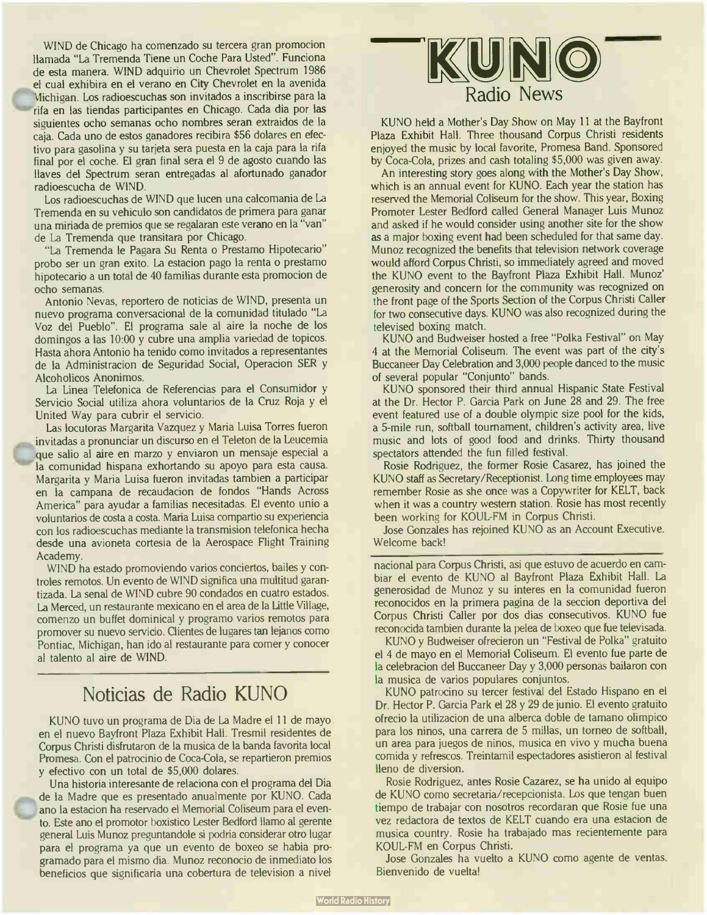WIND de Chicago ha comenzado su tercera gran promocion llamada " La Tremenda Tiene un Coche Para Usted". Funciona de esta manera. WIND adquirio un Chevrolet Spectrum 1986 el cual exhibira en el verano en City Chevrolet en la avenida Michigan. Los radioescuchas son invitados a inscribirse para la rifa en las tiendas participantes en Chicago. Cada dia por las siguientes ocho semanas ocho nombres seran extraidos de la caja. Cada uno de estos ganadores recibira \$56 dolares en efectivo para gasolina y su tarjeta sera puesta en la caja para la rifa final por el coche. El gran final sera el 9 de agosto cuando las llaves del Spectrum seran entregadas al afortunado ganador radioescucha de WIND.

Los radioescuchas de WIND que lucen una calcomania de La Tremenda en su vehiculo son candidatos de primera para ganar una minada de premios que se regalaran este verano en la "van" de La Tremenda que transitara por Chicago.

"La Tremenda le Pagara Su Renta o Prestamo Hipotecario" probo ser un gran exito. La estacion pago la renta o prestamo hipotecario a un total de 40 familias durante esta promocion de ocho semanas.

Antonio Nevas, reportero de noticias de WIND, presenta un nuevo programa conversacional de la comunidad titulado " La Voz del Pueblo". El programa sale al aire la noche de los domingos a las 10:00 y cubre una amplia variedad de topicos. Hasta ahora Antonio ha tenido como invitados a representantes de la Administracion de Seguridad Social, Operacion SER y Alcoholicos Anonimos.

La Linea Telefonica de Referencias para el Consumidor y Servicio Social utiliza ahora voluntarios de la Cruz Roja y el United Way para cubrir el servicio.

Las locutoras Margarita Vazquez y Maria Luisa Torres fueron invitadas a pronunciar un discurso en el Teleton de la Leucemia que salio al aire en marzo y enviaron un mensaje especial a la comunidad hispana exhortando su apoyo para esta causa. Margarita y Maria Luisa fueron invitadas tambien a participar en la campana de recaudacion de fondos "Hands Across America" para ayudar a familias necesitadas. El evento unjo a voluntarios de costa a costa. Maria Luisa compartio su experiencia con los radioescuchas mediante la transmision telefonica hecha desde una avioneta cortesia de la Aerospace Flight Training Academy.

WIND ha estado promoviendo varios conciertos, bailes y controles remotos. Un evento de WIND significa una multitud garantizada. La senal de WIND cubre 90 condados en cuatro estados. La Merced, un restaurante mexicano en el area de la Little Village, comenzo un buffet dominical y programo varios remotos para promover su nuevo servicio. Clientes de lugares tan lejanos como Pontiac, Michigan, han ido al restaurante para comer y conocer al talento al aire de WIND.

### Noticias de Radio KUNO

KUNO tuvo un programa de Dia de La Madre el 11 de mayo en el nuevo Bayfront Plaza Exhibit Hall. Tresmil residentes de Corpus Christi disfrutaron de la musica de la banda favorita local Promesa. Con el patrocinio de Coca-Cola, se repartieron premios y efectivo con un total de \$5,000 dolares.

Una historia interesante de relaciona con el programa del Dia de la Madre que es presentado anualmente por KUNO. Cada ano la estacion ha reservado el Memorial Coliseum para el evento. Este ano el promotor boxistico Lester Bedford llamo al gerente general Luis Munoz preguntandole si podria considerar otro lugar para el programa ya que un evento de boxeo se habia programado para el mismo dia. Munoz reconocio de inmediato los beneficios que significaria una cobertura de television a nivel



KUNO held a Mother's Day Show on May 11 at the Bayfront Plaza Exhibit Hall. Three thousand Corpus Christi residents enjoyed the music by local favorite, Promesa Band. Sponsored by Coca-Cola, prizes and cash totaling \$5,000 was given away.

An interesting story goes along with the Mother's Day Show, which is an annual event for KUNO. Each year the station has reserved the Memorial Coliseum for the show. This year, Boxing Promoter Lester Bedford called General Manager Luis Munoz and asked if he would consider using another site for the show as a major boxing event had been scheduled for that same day. Munoz recognized the benefits that television network coverage would afford Corpus Christi, so immediately agreed and moved the KUNO event to the Bayfront Plaza Exhibit Hall. Munoz' generosity and concern for the community was recognized on the front page of the Sports Section of the Corpus Christi Caller for two consecutive days. KUNO was also recognized during the televised boxing match.

KUNO and Budweiser hosted a free "Polka Festival" on May 4 at the Memorial Coliseum. The event was part of the city's Buccaneer Day Celebration and 3,000 people danced to the music of several popular "Conjunto" bands.

KUNO sponsored their third annual Hispanic State Festival at the Dr. Hector P. Garcia Park on June 28 and 29. The free event featured use of a double olympic size pool for the kids, a 5- mile run, softball tournament, children's activity area, live music and lots of good food and drinks. Thirty thousand spectators attended the fun filled festival.

Rosie Rodriguez, the former Rosie Casarez, has joined the KUNO staff as Secretary/Receptionist. Long time employees may remember Rosie as she once was a Copywriter for KELT, back when it was a country western station. Rosie has most recently been working for KOUL-FM in Corpus Christi.

Jose Gonzales has rejoined KUNO as an Account Executive. Welcome back!

nacional para Corpus Christi, asi que estuvo de acuerdo en cambiar el evento de KUNO al Bayfront Plaza Exhibit Hall. La generosidad de Munoz y su interes en la comunidad fueron reconocidos en la primera pagina de la seccion deportiva del Corpus Christi Caller por dos dias consecutivos. KUNO fue reconocida tambien durante la pelea de boxeo que fue televisada.

KUNO y Budweiser ofrecieron un "Festival de Polka" gratuito el 4 de mayo en el Memorial Coliseum. El evento fue parte de la celebracion del Buccaneer Day y 3,000 personas bailaron con la musica de varios populares conjuntos.

KUNO patrocino su tercer festival del Estado Hispano en el Dr. Hector P. Garcia Park el 28 y 29 de junio. El evento gratuito ofrecio la utilizacion de una alberca doble de tamano olimpico para los ninos, una carrera de 5 millas, un torneo de softball, un area para juegos de ninos, musica en vivo y mucha buena comida y refrescos. Treintamil espectadores asistieron al festival lleno de diversion.

Rosie Rodriguez, antes Rosie Cazarez, se ha unido al equipo de KUNO como secretaria/recepcionista. Los que tengan buen tiempo de trabajar con nosotros recordaran que Rosie fue una vez redactora de textos de KELT cuando era una estacion de musica country. Rosie ha trabajado mas recientemente para KOUL-FM en Corpus Christi.

Jose Gonzales ha vuelto a KUNO como agente de yentas. Bienvenido de vuelta!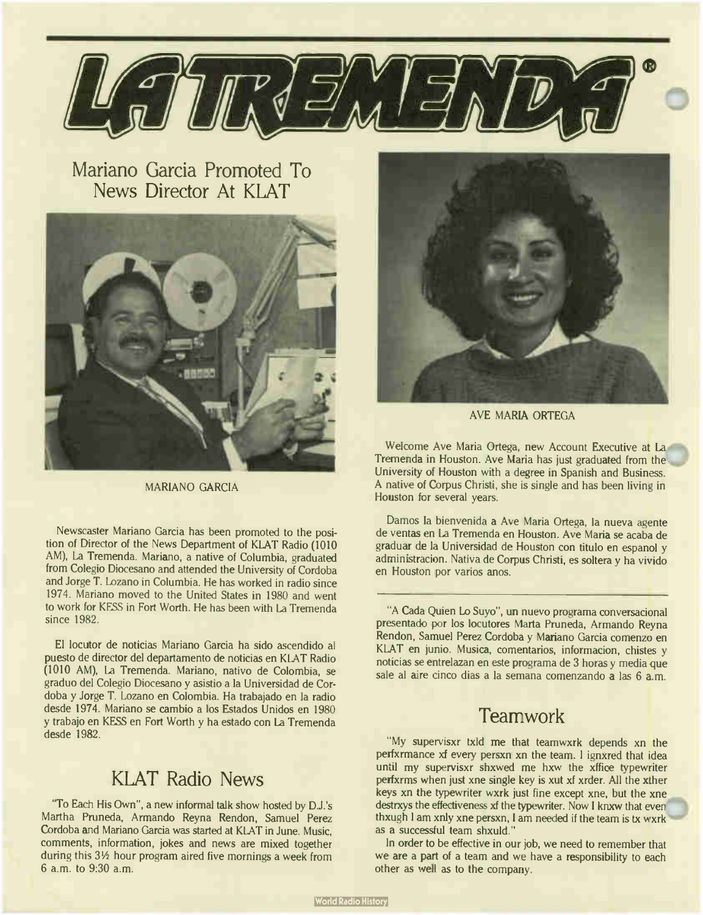

Mariano Garcia Promoted To News Director At KLAT



MARIANO GARCIA

Newscaster Mariano Garcia has been promoted to the position of Director of the News Department of KLAT Radio (1010 AM), La Tremenda. Mariano, a native of Columbia, graduated from Colegio Diocesano and attended the University of Cordoba and Jorge T. Lozano in Columbia. He has worked in radio since 1974. Mariano moved to the United States in 1980 and went to work for KESS in Fort Worth. He has been with La Tremenda since 1982.

El locutor de noticias Mariano Garcia ha sido ascendido al puesto de director del departamento de noticias en KLAT Radio (1010 AM), la Tremenda. Mariano, nativo de Colombia, se graduo del Colegio Diocesano y asistio a la Universidad de Cordoba y Jorge T. Lozano en Colombia. Ha trabajado en la radio desde 1974. Mariano se cambio a los Estados Unidos en 1980 y trabajo en KESS en Fort Worth y ha estado con La Tremenda desde 1982.

### KLAT Radio News

"To Each His Own", a new informal talk show hosted by D.J.'s Martha Pruneda, Armando Reyna Rendon, Samuel Perez Cordoba and Mariano Garcia was started at KLAT in June. Music, comments, information, jokes and news are mixed together during this 3<sup>1/2</sup> hour program aired five mornings a week from 6 a.m. to 9:30 a.m.



AVE MARIA ORTEGA

Welcome Ave Maria Ortega, new Account Executive at La Tremenda in Houston. Ave Maria has just graduated from the University of Houston with a degree in Spanish and Business. A native of Corpus Christi, she is single and has been living in Houston for several years.

Damos la bienvenida a Ave Maria Ortega, la nueva agente de yentas en La Tremenda en Houston. Ave Maria se acaba de graduar de la Universidad de Houston con titulo en espanol y administracion. Nativa de Corpus Christi, es soltera y ha vivido en Houston por varios anos.

"A Cada Quien Lo Suyo", un nuevo programa conversacional presentado por los locutores Marta Pruneda, Armando Reyna Rendon, Samuel Perez Cordoba y Mariano Garcia comenzo en KLAT en junio. Musica, comentarios, informacion, chistes y noticias se entrelazan en este programa de 3 horas y media que sale al aire cinco dias a la semana comenzando a las 6 a.m.

### **Teamwork**

"My supervisxr txld me that teamwxrk depends xn the perfxrmance xf every persxn xn the team. I ignxred that idea until my supervisxr shxwed me hxw the xffice typewriter perfxrms when just xne single key is xut xf xrder. All the xther keys xn the typewriter wxrk just fine except xne, but the xne destrxys the effectiveness xf the typewriter. Now I knxw that even thxugh I am xnly xne persxn, I am needed if the team is tx wxrk as a successful team shxuld."

In order to be effective in our job, we need to remember that we are a part of a team and we have a responsibility to each other as well as to the company.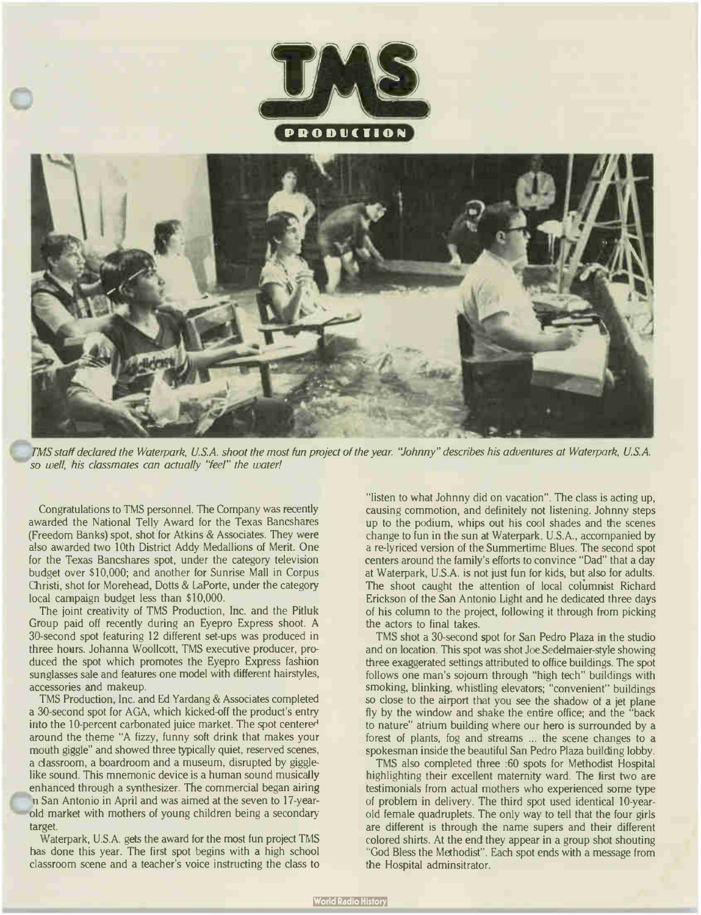



TMS staff declared the Waterpark, U.S.A. shoot the most fun project of the year. "Johnny" describes his adventures at Waterpark, U.S.A. so well, his classmates can actually "feel" the water!

Congratulations to TMS personnel. The Company was recently awarded the National Telly Award for the Texas Bancshares (Freedom Banks) spot, shot for Atkins & Associates. They were also awarded two 10th District Addy Medallions of Merit. One for the Texas Bancshares spot, under the category television budget over \$10,000; and another for Sunrise Mall in Corpus Christi, shot for Morehead, Dotts & LaPorte, under the category local campaign budget less than \$10,000.

The joint creativity of TMS Production, Inc. and the Pitluk Group paid off recently during an Eyepro Express shoot. A 30-second spot featuring 12 different set-ups was produced in three hours. Johanna Woollcott, TMS executive producer, produced the spot which promotes the Eyepro Express fashion sunglasses sale and features one model with different hairstyles, accessories and makeup.

TMS Production, Inc. and Ed Yardang & Associates completed a 30-second spot for AGA, which kicked-off the product's entry into the 10-percent carbonated juice market. The spot centered around the theme "A fizzy, funny soft drink that makes your mouth giggle" and showed three typically quiet, reserved scenes, a classroom, a boardroom and a museum, disrupted by gigglelike sound. This mnemonic device is a human sound musically enhanced through a synthesizer. The commercial began airing n San Antonio in April and was aimed at the seven to 17-yearold market with mothers of young children being a secondary target.

Waterpark, U.S.A. gets the award for the most fun project TMS has done this year. The first spot begins with a high school classroom scene and a teacher's voice instructing the class to "listen to what Johnny did on vacation". The class is acting up, causing commotion, and definitely not listening. Johnny steps up to the podium, whips out his cool shades and the scenes change to fun in the sun at Waterpark. U.S.A., accompanied by a re-lyriced version of the Summertime Blues. The second spot centers around the family's efforts to convince " Dad" that a day at Waterpark, U.S.A. is not just fun for kids, but also for adults. The shoot caught the attention of local columnist Richard Erickson of the San Antonio Light and he dedicated three days of his column to the project, following it through from picking the actors to final takes.

TMS shot a 30-second spot for San Pedro Plaza in the studio and on location. This spot was shot Joe Sedelmaier-style showing three exaggerated settings attributed to office buildings. The spot follows one man's sojourn through "high tech" buildings with smoking, blinking, whistling elevators; "convenient" buildings so close to the airport that you see the shadow of a jet plane fly by the window and shake the entire office; and the "back to nature" atrium building where our hero is surrounded by a forest of plants, fog and streams ... the scene changes to a spokesman inside the beautiful San Pedro Plaza building lobby.

TMS also completed three : 60 spots for Methodist Hospital highlighting their excellent maternity ward. The first two are testimonials from actual mothers who experienced some type of problem in delivery. The third spot used identical 10-yearold female quadruplets. The only way to tell that the four girls are different is through the name supers and their different colored shirts. At the end they appear in a group shot shouting "God Bless the Methodist". Each spot ends with a message from the Hospital adminsitrator.